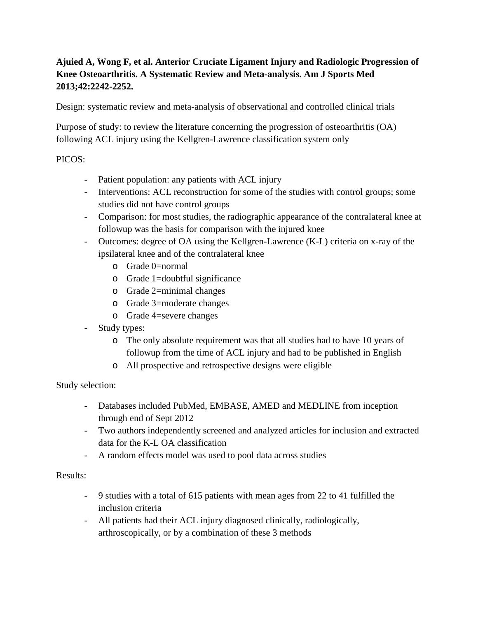# **Ajuied A, Wong F, et al. Anterior Cruciate Ligament Injury and Radiologic Progression of Knee Osteoarthritis. A Systematic Review and Meta-analysis. Am J Sports Med 2013;42:2242-2252.**

Design: systematic review and meta-analysis of observational and controlled clinical trials

Purpose of study: to review the literature concerning the progression of osteoarthritis (OA) following ACL injury using the Kellgren-Lawrence classification system only

### PICOS:

- Patient population: any patients with ACL injury
- Interventions: ACL reconstruction for some of the studies with control groups; some studies did not have control groups
- Comparison: for most studies, the radiographic appearance of the contralateral knee at followup was the basis for comparison with the injured knee
- Outcomes: degree of OA using the Kellgren-Lawrence (K-L) criteria on x-ray of the ipsilateral knee and of the contralateral knee
	- o Grade 0=normal
	- o Grade 1=doubtful significance
	- o Grade 2=minimal changes
	- o Grade 3=moderate changes
	- o Grade 4=severe changes
- Study types:
	- o The only absolute requirement was that all studies had to have 10 years of followup from the time of ACL injury and had to be published in English
	- o All prospective and retrospective designs were eligible

### Study selection:

- Databases included PubMed, EMBASE, AMED and MEDLINE from inception through end of Sept 2012
- Two authors independently screened and analyzed articles for inclusion and extracted data for the K-L OA classification
- A random effects model was used to pool data across studies

### Results:

- 9 studies with a total of 615 patients with mean ages from 22 to 41 fulfilled the inclusion criteria
- All patients had their ACL injury diagnosed clinically, radiologically, arthroscopically, or by a combination of these 3 methods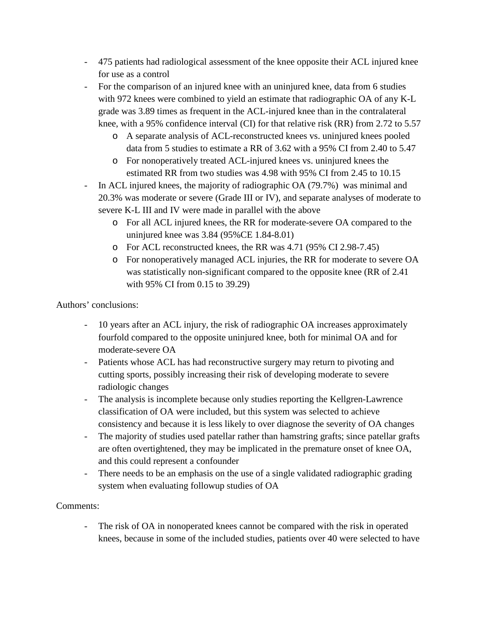- 475 patients had radiological assessment of the knee opposite their ACL injured knee for use as a control
- For the comparison of an injured knee with an uninjured knee, data from 6 studies with 972 knees were combined to yield an estimate that radiographic OA of any K-L grade was 3.89 times as frequent in the ACL-injured knee than in the contralateral knee, with a 95% confidence interval (CI) for that relative risk (RR) from 2.72 to 5.57
	- o A separate analysis of ACL-reconstructed knees vs. uninjured knees pooled data from 5 studies to estimate a RR of 3.62 with a 95% CI from 2.40 to 5.47
	- o For nonoperatively treated ACL-injured knees vs. uninjured knees the estimated RR from two studies was 4.98 with 95% CI from 2.45 to 10.15
- In ACL injured knees, the majority of radiographic OA (79.7%) was minimal and 20.3% was moderate or severe (Grade III or IV), and separate analyses of moderate to severe K-L III and IV were made in parallel with the above
	- o For all ACL injured knees, the RR for moderate-severe OA compared to the uninjured knee was 3.84 (95%CE 1.84-8.01)
	- o For ACL reconstructed knees, the RR was 4.71 (95% CI 2.98-7.45)
	- o For nonoperatively managed ACL injuries, the RR for moderate to severe OA was statistically non-significant compared to the opposite knee (RR of 2.41 with 95% CI from 0.15 to 39.29)

Authors' conclusions:

- 10 years after an ACL injury, the risk of radiographic OA increases approximately fourfold compared to the opposite uninjured knee, both for minimal OA and for moderate-severe OA
- Patients whose ACL has had reconstructive surgery may return to pivoting and cutting sports, possibly increasing their risk of developing moderate to severe radiologic changes
- The analysis is incomplete because only studies reporting the Kellgren-Lawrence classification of OA were included, but this system was selected to achieve consistency and because it is less likely to over diagnose the severity of OA changes
- The majority of studies used patellar rather than hamstring grafts; since patellar grafts are often overtightened, they may be implicated in the premature onset of knee OA, and this could represent a confounder
- There needs to be an emphasis on the use of a single validated radiographic grading system when evaluating followup studies of OA

## Comments:

- The risk of OA in nonoperated knees cannot be compared with the risk in operated knees, because in some of the included studies, patients over 40 were selected to have